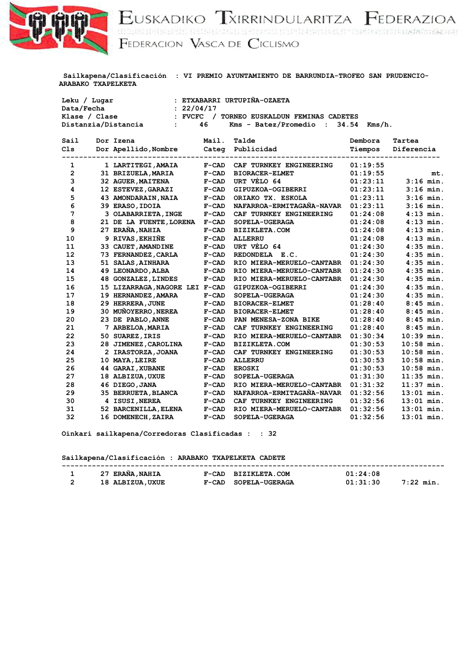

EUSKADIKO TXIRRINDULARITZA FEDERAZIOA<br>FEDERACION VASCA DE CICLISMO

| <b>ARABAKO TXAPELKETA</b> |                                       |              |                                  |                    |              |
|---------------------------|---------------------------------------|--------------|----------------------------------|--------------------|--------------|
| Leku / Lugar              |                                       |              | : ETXABARRI URTUPIÑA-OZAETA      |                    |              |
| Data/Fecha                | : 22/04/17                            |              |                                  |                    |              |
| Klase / Clase             | $:$ FVCFC $/$                         |              | TORNEO EUSKALDUN FEMINAS CADETES |                    |              |
|                           | Distanzia/Distancia<br>$\ddot{\cdot}$ | 46           | Kms - Batez/Promedio :           | 34.54<br>$Kms/h$ . |              |
| Sail                      | Dor Izena                             | Mail.        | Talde                            | Dembora            | Tartea       |
| C <sub>1s</sub>           | Dor Apellido, Nombre                  | Categ        | Publicidad                       | Tiempos            | Diferencia   |
| $\mathbf{1}$              | 1 LARTITEGI, AMAIA                    | $F-CAD$      | CAF TURNKEY ENGINEERING          | 01:19:55           |              |
| $\overline{2}$            | 31 BRIZUELA, MARIA                    | $F-CAD$      | <b>BIORACER-ELMET</b>            | 01:19:55           | mt.          |
| 3                         | 32 AGUER, MAITENA                     | $F-CAD$      | URT VÉLO 64                      | 01:23:11           | $3:16$ min.  |
| 4                         | 12 ESTEVEZ, GARAZI                    | $F-CAD$      | GIPUZKOA-OGIBERRI                | 01:23:11           | $3:16$ min.  |
| 5                         | 43 AMONDARAIN, NAIA                   | $F-CAD$      | ORIAKO TX. ESKOLA                | 01:23:11           | $3:16$ min.  |
| 6                         | 39 ERASO, IDOIA                       | $F-CAD$      | NAFARROA-ERMITAGAÑA-NAVAR        | 01:23:11           | $3:16$ min.  |
| 7                         | 3 OLABARRIETA, INGE                   | $F-CAD$      | CAF TURNKEY ENGINEERING          | 01:24:08           | $4:13$ min.  |
| 8                         | 21 DE LA FUENTE, LORENA               | $F-CAD$      | SOPELA-UGERAGA                   | 01:24:08           | $4:13$ min.  |
| 9                         | 27 ERAÑA, NAHIA                       | $F-CAD$      | <b>BIZIKLETA.COM</b>             | 01:24:08           | $4:13$ min.  |
| 10                        | 9 RIVAS, EKHIÑE                       | $F-CAD$      | <b>ALLERRU</b>                   | 01:24:08           | $4:13$ min.  |
| 11                        | 33 CAUET, AMANDINE                    | $F-CAD$      | URT VÉLO 64                      | 01:24:30           | $4:35$ min.  |
| 12                        | 73 FERNANDEZ, CARLA                   | $F-CAD$      | REDONDELA E.C.                   | 01:24:30           | $4:35$ min.  |
| 13                        | 51 SALAS, AINHARA                     | $F-CAD$      | RIO MIERA-MERUELO-CANTABR        | 01:24:30           | $4:35$ min.  |
| 14                        | 49 LEONARDO, ALBA                     | $F-CAD$      | RIO MIERA-MERUELO-CANTABR        | 01:24:30           | $4:35$ min.  |
| 15                        | <b>48 GONZALEZ, LINDES</b>            | $F-CAD$      | RIO MIERA-MERUELO-CANTABR        | 01:24:30           | $4:35$ min.  |
| 16                        | 15 LIZARRAGA, NAGORE LEI F-CAD        |              | GIPUZKOA-OGIBERRI                | 01:24:30           | $4:35$ min.  |
| 17                        | 19 HERNANDEZ, AMARA                   | $F-CAD$      | SOPELA-UGERAGA                   | 01:24:30           | $4:35$ min.  |
| 18                        | 29 HERRERA, JUNE                      | $F-CAD$      | <b>BIORACER-ELMET</b>            | 01:28:40           | $8:45$ min.  |
| 19                        | 30 MUÑOYERRO, NEREA                   | $F-CAD$      | <b>BIORACER-ELMET</b>            | 01:28:40           | $8:45$ min.  |
| 20                        | 23 DE PABLO, ANNE                     | $F-CAD$      | PAN MENESA-ZONA BIKE             | 01:28:40           | $8:45$ min.  |
| 21                        | 7 ARBELOA, MARIA                      | $F-CAD$      | CAF TURNKEY ENGINEERING          | 01:28:40           | $8:45$ min.  |
| 22                        | 50 SUAREZ, IRIS                       | $F-CAD$      | RIO MIERA-MERUELO-CANTABR        | 01:30:34           | $10:39$ min. |
| 23                        | 28 JIMENEZ, CAROLINA                  | $F-CAD$      | BIZIKLETA.COM                    | 01:30:53           | $10:58$ min. |
| 24                        | 2 IRASTORZA, JOANA                    | $F-CAD$      | CAF TURNKEY ENGINEERING          | 01:30:53           | $10:58$ min. |
| 25                        | 10 MAYA, LEIRE                        | $F-CAD$      | <b>ALLERRU</b>                   | 01:30:53           | $10:58$ min. |
| 26                        | <b>44 GARAI, XUBANE</b>               | $F-CAD$      | <b>EROSKI</b>                    | 01:30:53           | $10:58$ min. |
| 27                        | 18 ALBIZUA, UXUE                      | $F-CAD$      | SOPELA-UGERAGA                   | 01:31:30           | $11:35$ min. |
| 28                        | 46 DIEGO, JANA                        | <b>F-CAD</b> | RIO MIERA-MERUELO-CANTABR        | 01:31:32           | $11:37$ min. |
| 29                        | 35 BERRUETA, BLANCA                   | $F-CAD$      | NAFARROA-ERMITAGAÑA-NAVAR        | 01:32:56           | $13:01$ min. |
| 30                        | 4 ISUSI, NEREA                        | $F-CAD$      | CAF TURNKEY ENGINEERING          | 01:32:56           | $13:01$ min. |
| 31                        | 52 BARCENILLA, ELENA                  | $F-CAD$      | RIO MIERA-MERUELO-CANTABR        | 01:32:56           | $13:01$ min. |

 **Sailkapena/Clasificación : VI PREMIO AYUNTAMIENTO DE BARRUNDIA-TROFEO SAN PRUDENCIO-**

 **Oinkari sailkapena/Corredoras Clasificadas : : 32**

 **Sailkapena/Clasificación : ARABAKO TXAPELKETA CADETE**

| <b>ERAÑA, NAHIA</b> | $F-CAD$<br><b>BIZIKLETA.COM</b> | 01:24:08             |  |
|---------------------|---------------------------------|----------------------|--|
| 18 ALBIZUA, UXUE    | $F-CAD$<br>SOPELA-UGERAGA       | 01.31.30<br>7:22 min |  |

 **32 16 DOMENECH,ZAIRA F-CAD SOPELA-UGERAGA 01:32:56 13:01 min.**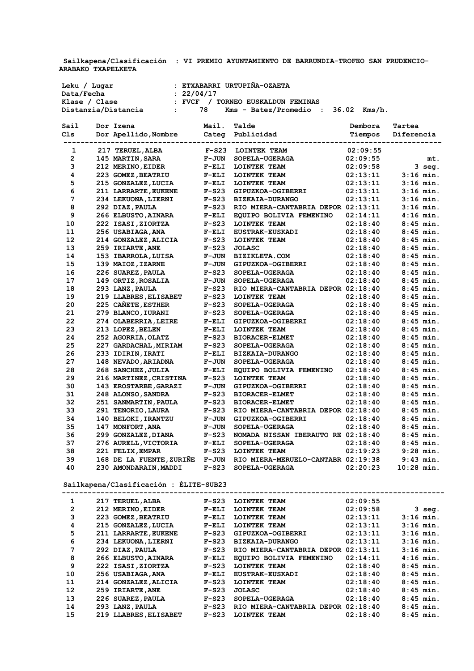**ARABAKO TXAPELKETA** 

 **Sailkapena/Clasificación : VI PREMIO AYUNTAMIENTO DE BARRUNDIA-TROFEO SAN PRUDENCIO-**

 **Leku / Lugar : ETXABARRI URTUPIÑA-OZAETA Data/Fecha : 22/04/17 Klase / Clase : FVCF / TORNEO EUSKALDUN FEMINAS Distanzia/Distancia : 78 Kms - Batez/Promedio : 36.02 Kms/h.**

| Sail           | Dor Izena                    | Mail.        | Talde                              | Dembora  | Tartea       |
|----------------|------------------------------|--------------|------------------------------------|----------|--------------|
| C1s            | Dor Apellido, Nombre         | Categ        | Publicidad                         | Tiempos  | Diferencia   |
|                |                              | -----------  |                                    |          |              |
| 1              | 217 TERUEL, ALBA             | $F-S23$      | <b>LOINTEK TEAM</b>                | 02:09:55 |              |
| $\overline{2}$ | 145 MARTIN, SARA             | <b>F-JUN</b> | SOPELA-UGERAGA                     | 02:09:55 | mt.          |
| 3              | 212 MERINO, EIDER            | $F-ELI$      | LOINTEK TEAM                       | 02:09:58 | $3$ seq.     |
| 4              | 223 GOMEZ, BEATRIU           | $F-ELI$      | LOINTEK TEAM                       | 02:13:11 | $3:16$ min.  |
| 5              | 215 GONZALEZ,LUCIA           | $F-ELI$      | <b>LOINTEK TEAM</b>                | 02:13:11 | $3:16$ min.  |
| 6              | 211 LARRARTE, EUKENE         | $F-S23$      | GIPUZKOA-OGIBERRI                  | 02:13:11 | $3:16$ min.  |
| 7              | 234 LEKUONA, LIERNI          | $F-S23$      | BIZKAIA-DURANGO                    | 02:13:11 | $3:16$ min.  |
| 8              | 292 DIAZ, PAULA              | $F-S23$      | RIO MIERA-CANTABRIA DEPOR 02:13:11 |          | $3:16$ min.  |
| 9              | 266 ELBUSTO, AINARA          | $F-ELI$      | EQUIPO BOLIVIA FEMENINO            | 02:14:11 | $4:16$ min.  |
| 10             | 222 ISASI,ZIORTZA            | $F-S23$      | LOINTEK TEAM                       | 02:18:40 | $8:45$ min.  |
| 11             | 256 USABIAGA,ANA             | $F-ELI$      | <b>EUSTRAK-EUSKADI</b>             | 02:18:40 | $8:45$ min.  |
| 12             | 214 GONZALEZ, ALICIA         | $F-S23$      | LOINTEK TEAM                       | 02:18:40 | $8:45$ min.  |
| 13             | 259 IRIARTE, ANE             | $F-S23$      | <b>JOLASC</b>                      | 02:18:40 | $8:45$ min.  |
| 14             | 153 IBARROLA, LUISA          | <b>F-JUN</b> | <b>BIZIKLETA.COM</b>               | 02:18:40 | $8:45$ min.  |
| 15             | 139 MAIOZ, IZARNE            | <b>F-JUN</b> | GIPUZKOA-OGIBERRI                  | 02:18:40 | $8:45$ min.  |
| 16             | 226 SUAREZ, PAULA            | $F-S23$      | SOPELA-UGERAGA                     | 02:18:40 | $8:45$ min.  |
| 17             | 149 ORTIZ, ROSALIA           | <b>F-JUN</b> | SOPELA-UGERAGA                     | 02:18:40 | $8:45$ min.  |
| 18             | 293 LANZ, PAULA              | $F-S23$      | RIO MIERA-CANTABRIA DEPOR 02:18:40 |          | $8:45$ min.  |
| 19             | 219 LLABRES, ELISABET        | $F-S23$      | LOINTEK TEAM                       | 02:18:40 | $8:45$ min.  |
| 20             | 225 CANETE, ESTHER           | $F-S23$      | SOPELA-UGERAGA                     | 02:18:40 | $8:45$ min.  |
| 21             | 279 BLANCO, IURANI           | $F-S23$      | SOPELA-UGERAGA                     | 02:18:40 | $8:45$ min.  |
| 22             | 274 OLABERRIA, LEIRE         | $F-ELI$      | GIPUZKOA-OGIBERRI                  | 02:18:40 | $8:45$ min.  |
| 23             | 213 LOPEZ, BELEN             | $F-ELI$      | LOINTEK TEAM                       | 02:18:40 | $8:45$ min.  |
| 24             | 252 AGORRIA, OLATZ           | $F-S23$      | <b>BIORACER-ELMET</b>              | 02:18:40 | $8:45$ min.  |
| 25             | 227 GARDACHAL, MIRIAM        | $F-S23$      | SOPELA-UGERAGA                     | 02:18:40 | $8:45$ min.  |
| 26             | 233 IDIRIN,IRATI             | $F-ELI$      | <b>BIZKAIA-DURANGO</b>             | 02:18:40 | $8:45$ min.  |
| 27             | 148 NEVADO, ARIADNA          | $F-JUN$      | SOPELA-UGERAGA                     | 02:18:40 | $8:45$ min.  |
| 28             | 268 SANCHEZ, JULIA           | $F-ELI$      | EQUIPO BOLIVIA FEMENINO            | 02:18:40 | $8:45$ min.  |
| 29             | 216 MARTINEZ, CRISTINA       | $F-S23$      | LOINTEK TEAM                       | 02:18:40 | $8:45$ min.  |
| 30             | <b>143 EROSTARBE, GARAZI</b> | <b>F-JUN</b> | GIPUZKOA-OGIBERRI                  | 02:18:40 | $8:45$ min.  |
| 31             | 248 ALONSO, SANDRA           | $F-S23$      | <b>BIORACER-ELMET</b>              | 02:18:40 | $8:45$ min.  |
| 32             | 251 SANMARTIN, PAULA         | $F-S23$      | <b>BIORACER-ELMET</b>              | 02:18:40 | $8:45$ min.  |
| 33             | 291 TENORIO, LAURA           | $F-S23$      | RIO MIERA-CANTABRIA DEPOR 02:18:40 |          | $8:45$ min.  |
| 34             | 140 BELOKI, IRANTZU          | <b>F-JUN</b> | GIPUZKOA-OGIBERRI                  | 02:18:40 | $8:45$ min.  |
| 35             | 147 MONFORT, ANA             | $F-JUN$      | SOPELA-UGERAGA                     | 02:18:40 | $8:45$ min.  |
| 36             | 299 GONZALEZ, DIANA          | $F-S23$      | NOMADA NISSAN IBERAUTO RE 02:18:40 |          | $8:45$ min.  |
| 37             | 276 AURELL, VICTORIA         | $F-ELI$      | SOPELA-UGERAGA                     | 02:18:40 | $8:45$ min.  |
| 38             | 221 FELIX, EMPAR             | $F-S23$      | LOINTEK TEAM                       | 02:19:23 | $9:28$ min.  |
| 39             | 168 DE LA FUENTE, ZURINE     | <b>F-JUN</b> | RIO MIERA-MERUELO-CANTABR 02:19:38 |          | $9:43$ min.  |
| 40             | 230 AMONDARAIN, MADDI        | $F-S23$      | SOPELA-UGERAGA                     | 02:20:23 | $10:28$ min. |
|                |                              |              |                                    |          |              |

 **Sailkapena/Clasificación : ÉLITE-SUB23**

| 1            | 217 TERUEL, ALBA      | $F-S23$ | LOINTEK TEAM              | 02:09:55 |             |
|--------------|-----------------------|---------|---------------------------|----------|-------------|
| $\mathbf{2}$ | 212 MERINO, EIDER     | $F-ELI$ | LOINTEK TEAM              | 02:09:58 | 3 seg.      |
| 3            | 223 GOMEZ, BEATRIU    | $F-ELI$ | LOINTEK TEAM              | 02:13:11 | $3:16$ min. |
| 4            | 215 GONZALEZ, LUCIA   | $F-ELI$ | LOINTEK TEAM              | 02:13:11 | $3:16$ min. |
| 5            | 211 LARRARTE, EUKENE  | $F-S23$ | GIPUZKOA-OGIBERRI         | 02:13:11 | $3:16$ min. |
| 6            | 234 LEKUONA, LIERNI   | $F-S23$ | BIZKAIA-DURANGO           | 02:13:11 | $3:16$ min. |
| 7            | 292 DIAZ, PAULA       | $F-S23$ | RIO MIERA-CANTABRIA DEPOR | 02:13:11 | $3:16$ min. |
| 8            | 266 ELBUSTO, AINARA   | $F-ELI$ | EOUIPO BOLIVIA FEMENINO   | 02:14:11 | $4:16$ min. |
| 9            | 222 ISASI, ZIORTZA    | $F-S23$ | LOINTEK TEAM              | 02:18:40 | $8:45$ min. |
| 10           | 256 USABIAGA, ANA     | $F-ELI$ | <b>EUSTRAK-EUSKADI</b>    | 02:18:40 | $8:45$ min. |
| 11           | 214 GONZALEZ, ALICIA  | $F-S23$ | LOINTEK TEAM              | 02:18:40 | $8:45$ min. |
| 12           | 259 IRIARTE, ANE      | $F-S23$ | <b>JOLASC</b>             | 02:18:40 | $8:45$ min. |
| 13           | 226 SUAREZ, PAULA     | $F-S23$ | SOPELA-UGERAGA            | 02:18:40 | $8:45$ min. |
| 14           | 293 LANZ, PAULA       | $F-S23$ | RIO MIERA-CANTABRIA DEPOR | 02:18:40 | $8:45$ min. |
| 15           | 219 LLABRES, ELISABET | $F-S23$ | LOINTEK TEAM              | 02:18:40 | $8:45$ min. |
|              |                       |         |                           |          |             |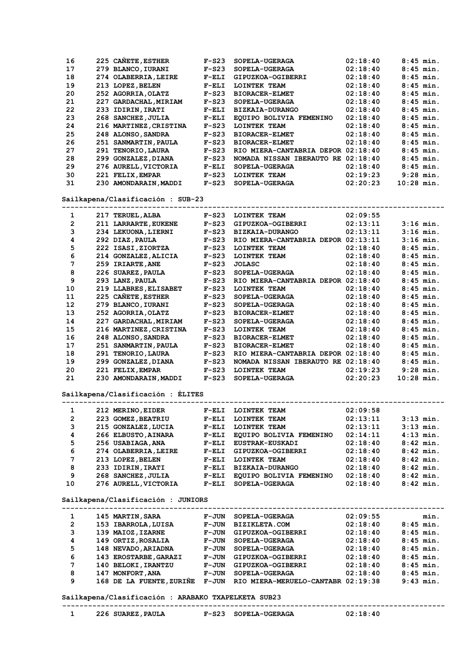| 16 |     | 225 CANETE, ESTHER       | $F-S23$ | SOPELA-UGERAGA                     | 02:18:40    | $8:45$ min.  |
|----|-----|--------------------------|---------|------------------------------------|-------------|--------------|
| 17 |     | 279 BLANCO, IURANI       | $F-S23$ | SOPELA-UGERAGA                     | 02:18:40    | $8:45$ min.  |
| 18 |     | 274 OLABERRIA, LEIRE     | $F-ELI$ | GIPUZKOA-OGIBERRI                  | 02:18:40    | $8:45$ min.  |
| 19 |     | 213 LOPEZ, BELEN         | $F-ELI$ | LOINTEK TEAM                       | 02:18:40    | $8:45$ min.  |
| 20 |     | 252 AGORRIA, OLATZ       | $F-S23$ | <b>BIORACER-ELMET</b>              | 02:18:40    | $8:45$ min.  |
| 21 | 227 | <b>GARDACHAL, MIRIAM</b> | $F-S23$ | SOPELA-UGERAGA                     | 02:18:40    | $8:45$ min.  |
| 22 |     | 233 IDIRIN, IRATI        | $F-ELI$ | <b>BIZKAIA-DURANGO</b>             | 02:18:40    | $8:45$ min.  |
| 23 |     | 268 SANCHEZ, JULIA       | $F-ELI$ | EQUIPO BOLIVIA FEMENINO            | 02:18:40    | $8:45$ min.  |
| 24 |     | 216 MARTINEZ, CRISTINA   | $F-S23$ | LOINTEK TEAM                       | 02:18:40    | $8:45$ min.  |
| 25 |     | 248 ALONSO, SANDRA       | $F-S23$ | <b>BIORACER-ELMET</b>              | 02:18:40    | $8:45$ min.  |
| 26 |     | 251 SANMARTIN, PAULA     | $F-S23$ | <b>BIORACER-ELMET</b>              | 02:18:40    | $8:45$ min.  |
| 27 |     | 291 TENORIO, LAURA       | $F-S23$ | RIO MIERA-CANTABRIA DEPOR 02:18:40 |             | $8:45$ min.  |
| 28 |     | 299 GONZALEZ, DIANA      | $F-S23$ | NOMADA NISSAN IBERAUTO             | RE 02:18:40 | $8:45$ min.  |
| 29 |     | 276 AURELL, VICTORIA     | $F-ELI$ | SOPELA-UGERAGA                     | 02:18:40    | $8:45$ min.  |
| 30 |     | 221 FELIX, EMPAR         | $F-S23$ | LOINTEK TEAM                       | 02:19:23    | $9:28$ min.  |
| 31 |     | 230 AMONDARAIN, MADDI    | $F-S23$ | SOPELA-UGERAGA                     | 02:20:23    | $10:28$ min. |
|    |     |                          |         |                                    |             |              |

 **Sailkapena/Clasificación : SUB-23**

| 1              | 217 | <b>TERUEL, ALBA</b>     | $F-S23$ | LOINTEK TEAM              | 02:09:55 |              |
|----------------|-----|-------------------------|---------|---------------------------|----------|--------------|
| $\overline{2}$ |     | 211 LARRARTE, EUKENE    | $F-S23$ | GIPUZKOA-OGIBERRI         | 02:13:11 | $3:16$ min.  |
| 3              |     | 234 LEKUONA, LIERNI     | $F-S23$ | BIZKAIA-DURANGO           | 02:13:11 | $3:16$ min.  |
| 4              |     | 292 DIAZ, PAULA         | $F-S23$ | RIO MIERA-CANTABRIA DEPOR | 02:13:11 | $3:16$ min.  |
| 5              |     | 222 ISASI, ZIORTZA      | $F-S23$ | <b>LOINTEK TEAM</b>       | 02:18:40 | $8:45$ min.  |
| 6              |     | 214 GONZALEZ, ALICIA    | $F-S23$ | LOINTEK TEAM              | 02:18:40 | $8:45$ min.  |
| 7              |     | 259 IRIARTE, ANE        | $F-S23$ | <b>JOLASC</b>             | 02:18:40 | $8:45$ min.  |
| 8              |     | 226 SUAREZ, PAULA       | $F-S23$ | SOPELA-UGERAGA            | 02:18:40 | $8:45$ min.  |
| 9              |     | 293 LANZ, PAULA         | $F-S23$ | RIO MIERA-CANTABRIA DEPOR | 02:18:40 | $8:45$ min.  |
| 10             |     | 219 LLABRES, ELISABET   | $F-S23$ | <b>LOINTEK TEAM</b>       | 02:18:40 | $8:45$ min.  |
| 11             |     | 225 CANETE, ESTHER      | $F-S23$ | SOPELA-UGERAGA            | 02:18:40 | $8:45$ min.  |
| 12             |     | 279 BLANCO, IURANI      | $F-S23$ | SOPELA-UGERAGA            | 02:18:40 | $8:45$ min.  |
| 13             |     | 252 AGORRIA, OLATZ      | $F-S23$ | <b>BIORACER-ELMET</b>     | 02:18:40 | $8:45$ min.  |
| 14             |     | 227 GARDACHAL, MIRIAM   | $F-S23$ | SOPELA-UGERAGA            | 02:18:40 | $8:45$ min.  |
| 15             |     | 216 MARTINEZ, CRISTINA  | $F-S23$ | LOINTEK TEAM              | 02:18:40 | $8:45$ min.  |
| 16             |     | 248 ALONSO, SANDRA      | $F-S23$ | <b>BIORACER-ELMET</b>     | 02:18:40 | $8:45$ min.  |
| 17             | 251 | <b>SANMARTIN, PAULA</b> | $F-S23$ | <b>BIORACER-ELMET</b>     | 02:18:40 | $8:45$ min.  |
| 18             | 291 | <b>TENORIO, LAURA</b>   | $F-S23$ | RIO MIERA-CANTABRIA DEPOR | 02:18:40 | $8:45$ min.  |
| 19             | 299 | <b>GONZALEZ, DIANA</b>  | $F-S23$ | NOMADA NISSAN IBERAUTO RE | 02:18:40 | $8:45$ min.  |
| 20             | 221 | <b>FELIX, EMPAR</b>     | $F-S23$ | <b>LOINTEK TEAM</b>       | 02:19:23 | $9:28$ min.  |
| 21             |     | 230 AMONDARAIN, MADDI   | $F-S23$ | SOPELA-UGERAGA            | 02:20:23 | $10:28$ min. |

## **Sailkapena/Clasificación : ÉLITES**

| $3:13$ min. |
|-------------|
|             |
|             |
| $3:13$ min. |
| $4:13$ min. |
| $8:42$ min. |
| $8:42$ min. |
| $8:42$ min. |
| $8:42$ min. |
| $8:42$ min. |
| $8:42$ min. |
|             |

 **Sailkapena/Clasificación : JUNIORS**

| 1              |     | 145 MARTIN, SARA         | F-JUN   | SOPELA-UGERAGA                     | 02:09:55 |             | min. |
|----------------|-----|--------------------------|---------|------------------------------------|----------|-------------|------|
| $\overline{2}$ |     | 153 IBARROLA, LUISA      | F-JUN   | <b>BIZIKLETA.COM</b>               | 02:18:40 | $8:45$ min. |      |
| 3              |     | 139 MAIOZ, IZARNE        | F-JUN   | GIPUZKOA-OGIBERRI                  | 02:18:40 | $8:45$ min. |      |
| 4              |     | 149 ORTIZ, ROSALIA       | F-JUN   | SOPELA-UGERAGA                     | 02:18:40 | $8:45$ min. |      |
| 5              |     | 148 NEVADO, ARIADNA      | $F-JUN$ | SOPELA-UGERAGA                     | 02:18:40 | $8:45$ min. |      |
| 6              |     | 143 EROSTARBE, GARAZI    | F-JUN   | GIPUZKOA-OGIBERRI                  | 02:18:40 | $8:45$ min. |      |
| 7              |     | 140 BELOKI, IRANTZU      | $F-JUN$ | GIPUZKOA-OGIBERRI                  | 02:18:40 | $8:45$ min. |      |
| 8              | 147 | MONFORT, ANA             | F-JUN   | SOPELA-UGERAGA                     | 02:18:40 | $8:45$ min. |      |
| 9              |     | 168 DE LA FUENTE, ZURINE | $F-JUN$ | RIO MIERA-MERUELO-CANTABR 02:19:38 |          | $9:43$ min. |      |
|                |     |                          |         |                                    |          |             |      |

 **Sailkapena/Clasificación : ARABAKO TXAPELKETA SUB23**

| דזדמם |  |  |
|-------|--|--|